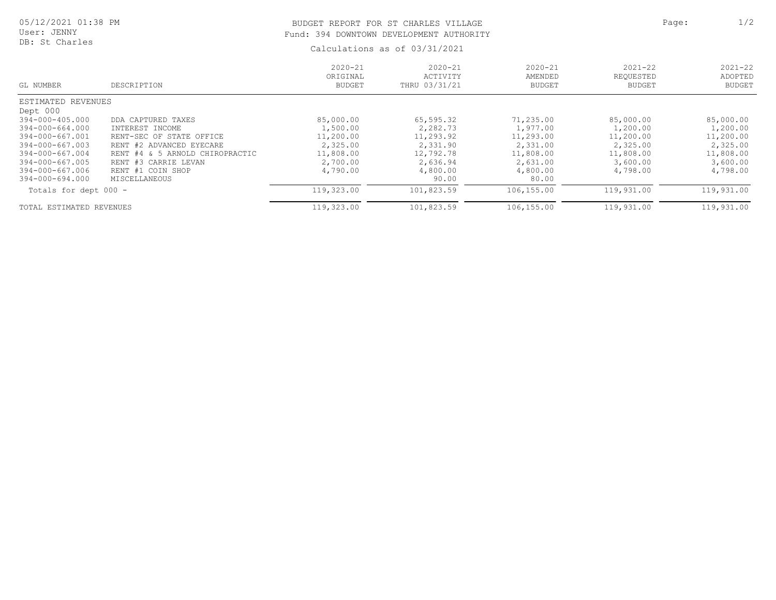## BUDGET REPORT FOR ST CHARLES VILLAGE **Page:** 2/2 Fund: 394 DOWNTOWN DEVELOPMENT AUTHORITY

Calculations as of 03/31/2021

| GL NUMBER                | DESCRIPTION                     | $2020 - 21$<br>ORIGINAL<br><b>BUDGET</b> | $2020 - 21$<br>ACTIVITY<br>THRU 03/31/21 | $2020 - 21$<br>AMENDED<br><b>BUDGET</b> | $2021 - 22$<br>REOUESTED<br><b>BUDGET</b> | $2021 - 22$<br>ADOPTED<br><b>BUDGET</b> |
|--------------------------|---------------------------------|------------------------------------------|------------------------------------------|-----------------------------------------|-------------------------------------------|-----------------------------------------|
| ESTIMATED REVENUES       |                                 |                                          |                                          |                                         |                                           |                                         |
| Dept 000                 |                                 |                                          |                                          |                                         |                                           |                                         |
| 394-000-405.000          | DDA CAPTURED TAXES              | 85,000.00                                | 65,595.32                                | 71,235.00                               | 85,000.00                                 | 85,000.00                               |
| 394-000-664.000          | INTEREST INCOME                 | 1,500.00                                 | 2,282.73                                 | 1,977.00                                | 1,200.00                                  | 1,200.00                                |
| 394-000-667.001          | RENT-SEC OF STATE OFFICE        | 11,200.00                                | 11,293.92                                | 11,293.00                               | 11,200.00                                 | 11,200.00                               |
| 394-000-667.003          | RENT #2 ADVANCED EYECARE        | 2,325.00                                 | 2,331.90                                 | 2,331.00                                | 2,325.00                                  | 2,325.00                                |
| 394-000-667.004          | RENT #4 & 5 ARNOLD CHIROPRACTIC | 11,808.00                                | 12,792.78                                | 11,808.00                               | 11,808.00                                 | 11,808.00                               |
| 394-000-667.005          | RENT #3 CARRIE LEVAN            | 2,700.00                                 | 2,636.94                                 | 2,631.00                                | 3,600.00                                  | 3,600.00                                |
| 394-000-667.006          | RENT #1 COIN SHOP               | 4,790.00                                 | 4,800.00                                 | 4,800.00                                | 4,798.00                                  | 4,798.00                                |
| 394-000-694.000          | <b>MISCELLANEOUS</b>            |                                          | 90.00                                    | 80.00                                   |                                           |                                         |
| Totals for dept 000 -    |                                 | 119,323.00                               | 101,823.59                               | 106,155.00                              | 119,931.00                                | 119,931.00                              |
| TOTAL ESTIMATED REVENUES |                                 | 119,323.00                               | 101,823.59                               | 106,155.00                              | 119,931.00                                | 119,931.00                              |